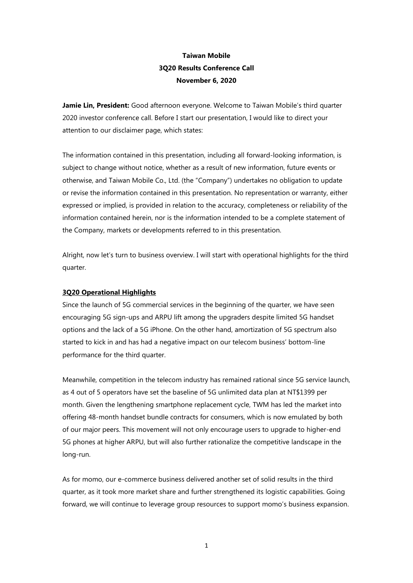# **Taiwan Mobile 3Q20 Results Conference Call November 6, 2020**

**Jamie Lin, President:** Good afternoon everyone. Welcome to Taiwan Mobile's third quarter 2020 investor conference call. Before I start our presentation, I would like to direct your attention to our disclaimer page, which states:

The information contained in this presentation, including all forward-looking information, is subject to change without notice, whether as a result of new information, future events or otherwise, and Taiwan Mobile Co., Ltd. (the "Company") undertakes no obligation to update or revise the information contained in this presentation. No representation or warranty, either expressed or implied, is provided in relation to the accuracy, completeness or reliability of the information contained herein, nor is the information intended to be a complete statement of the Company, markets or developments referred to in this presentation.

Alright, now let's turn to business overview. I will start with operational highlights for the third quarter.

## **3Q20 Operational Highlights**

Since the launch of 5G commercial services in the beginning of the quarter, we have seen encouraging 5G sign-ups and ARPU lift among the upgraders despite limited 5G handset options and the lack of a 5G iPhone. On the other hand, amortization of 5G spectrum also started to kick in and has had a negative impact on our telecom business' bottom-line performance for the third quarter.

Meanwhile, competition in the telecom industry has remained rational since 5G service launch, as 4 out of 5 operators have set the baseline of 5G unlimited data plan at NT\$1399 per month. Given the lengthening smartphone replacement cycle, TWM has led the market into offering 48-month handset bundle contracts for consumers, which is now emulated by both of our major peers. This movement will not only encourage users to upgrade to higher-end 5G phones at higher ARPU, but will also further rationalize the competitive landscape in the long-run.

As for momo, our e-commerce business delivered another set of solid results in the third quarter, as it took more market share and further strengthened its logistic capabilities. Going forward, we will continue to leverage group resources to support momo's business expansion.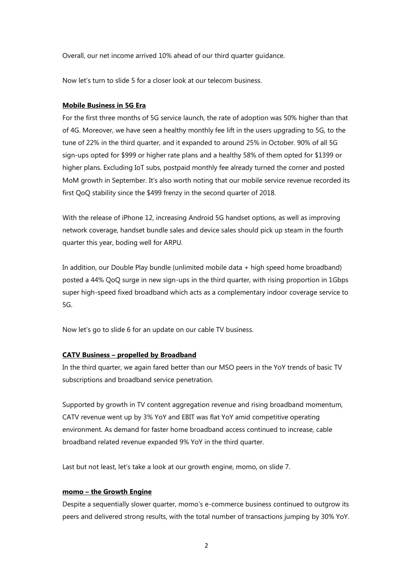Overall, our net income arrived 10% ahead of our third quarter guidance.

Now let's turn to slide 5 for a closer look at our telecom business.

#### **Mobile Business in 5G Era**

For the first three months of 5G service launch, the rate of adoption was 50% higher than that of 4G. Moreover, we have seen a healthy monthly fee lift in the users upgrading to 5G, to the tune of 22% in the third quarter, and it expanded to around 25% in October. 90% of all 5G sign-ups opted for \$999 or higher rate plans and a healthy 58% of them opted for \$1399 or higher plans. Excluding IoT subs, postpaid monthly fee already turned the corner and posted MoM growth in September. It's also worth noting that our mobile service revenue recorded its first QoQ stability since the \$499 frenzy in the second quarter of 2018.

With the release of iPhone 12, increasing Android 5G handset options, as well as improving network coverage, handset bundle sales and device sales should pick up steam in the fourth quarter this year, boding well for ARPU.

In addition, our Double Play bundle (unlimited mobile data + high speed home broadband) posted a 44% QoQ surge in new sign-ups in the third quarter, with rising proportion in 1Gbps super high-speed fixed broadband which acts as a complementary indoor coverage service to 5G.

Now let's go to slide 6 for an update on our cable TV business.

## **CATV Business – propelled by Broadband**

In the third quarter, we again fared better than our MSO peers in the YoY trends of basic TV subscriptions and broadband service penetration.

Supported by growth in TV content aggregation revenue and rising broadband momentum, CATV revenue went up by 3% YoY and EBIT was flat YoY amid competitive operating environment. As demand for faster home broadband access continued to increase, cable broadband related revenue expanded 9% YoY in the third quarter.

Last but not least, let's take a look at our growth engine, momo, on slide 7.

### **momo – the Growth Engine**

Despite a sequentially slower quarter, momo's e-commerce business continued to outgrow its peers and delivered strong results, with the total number of transactions jumping by 30% YoY.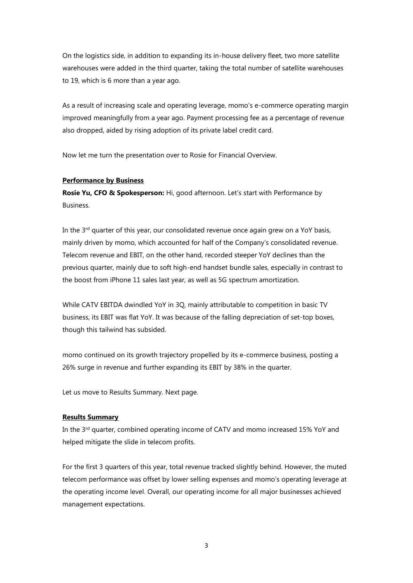On the logistics side, in addition to expanding its in-house delivery fleet, two more satellite warehouses were added in the third quarter, taking the total number of satellite warehouses to 19, which is 6 more than a year ago.

As a result of increasing scale and operating leverage, momo's e-commerce operating margin improved meaningfully from a year ago. Payment processing fee as a percentage of revenue also dropped, aided by rising adoption of its private label credit card.

Now let me turn the presentation over to Rosie for Financial Overview.

## **Performance by Business**

**Rosie Yu, CFO & Spokesperson:** Hi, good afternoon. Let's start with Performance by Business.

In the  $3<sup>rd</sup>$  quarter of this year, our consolidated revenue once again grew on a YoY basis, mainly driven by momo, which accounted for half of the Company's consolidated revenue. Telecom revenue and EBIT, on the other hand, recorded steeper YoY declines than the previous quarter, mainly due to soft high-end handset bundle sales, especially in contrast to the boost from iPhone 11 sales last year, as well as 5G spectrum amortization.

While CATV EBITDA dwindled YoY in 3Q, mainly attributable to competition in basic TV business, its EBIT was flat YoY. It was because of the falling depreciation of set-top boxes, though this tailwind has subsided.

momo continued on its growth trajectory propelled by its e-commerce business, posting a 26% surge in revenue and further expanding its EBIT by 38% in the quarter.

Let us move to Results Summary. Next page.

## **Results Summary**

In the  $3<sup>rd</sup>$  quarter, combined operating income of CATV and momo increased 15% YoY and helped mitigate the slide in telecom profits.

For the first 3 quarters of this year, total revenue tracked slightly behind. However, the muted telecom performance was offset by lower selling expenses and momo's operating leverage at the operating income level. Overall, our operating income for all major businesses achieved management expectations.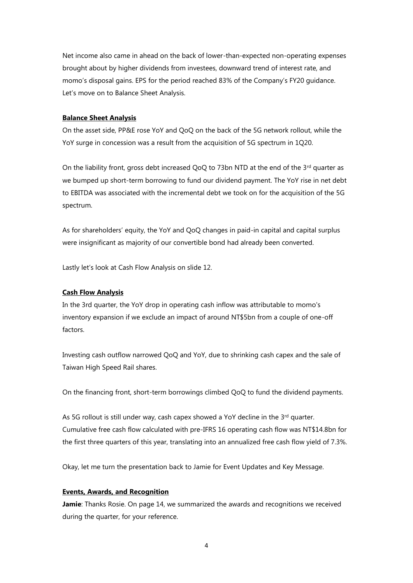Net income also came in ahead on the back of lower-than-expected non-operating expenses brought about by higher dividends from investees, downward trend of interest rate, and momo's disposal gains. EPS for the period reached 83% of the Company's FY20 guidance. Let's move on to Balance Sheet Analysis.

## **Balance Sheet Analysis**

On the asset side, PP&E rose YoY and QoQ on the back of the 5G network rollout, while the YoY surge in concession was a result from the acquisition of 5G spectrum in 1Q20.

On the liability front, gross debt increased QoQ to 73bn NTD at the end of the  $3<sup>rd</sup>$  quarter as we bumped up short-term borrowing to fund our dividend payment. The YoY rise in net debt to EBITDA was associated with the incremental debt we took on for the acquisition of the 5G spectrum.

As for shareholders' equity, the YoY and QoQ changes in paid-in capital and capital surplus were insignificant as majority of our convertible bond had already been converted.

Lastly let's look at Cash Flow Analysis on slide 12.

#### **Cash Flow Analysis**

In the 3rd quarter, the YoY drop in operating cash inflow was attributable to momo's inventory expansion if we exclude an impact of around NT\$5bn from a couple of one-off factors.

Investing cash outflow narrowed QoQ and YoY, due to shrinking cash capex and the sale of Taiwan High Speed Rail shares.

On the financing front, short-term borrowings climbed QoQ to fund the dividend payments.

As 5G rollout is still under way, cash capex showed a YoY decline in the 3<sup>rd</sup> quarter. Cumulative free cash flow calculated with pre-IFRS 16 operating cash flow was NT\$14.8bn for the first three quarters of this year, translating into an annualized free cash flow yield of 7.3%.

Okay, let me turn the presentation back to Jamie for Event Updates and Key Message.

### **Events, Awards, and Recognition**

**Jamie**: Thanks Rosie. On page 14, we summarized the awards and recognitions we received during the quarter, for your reference.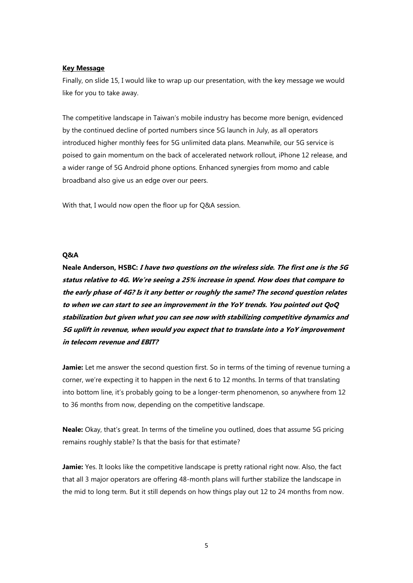#### **Key Message**

Finally, on slide 15, I would like to wrap up our presentation, with the key message we would like for you to take away.

The competitive landscape in Taiwan's mobile industry has become more benign, evidenced by the continued decline of ported numbers since 5G launch in July, as all operators introduced higher monthly fees for 5G unlimited data plans. Meanwhile, our 5G service is poised to gain momentum on the back of accelerated network rollout, iPhone 12 release, and a wider range of 5G Android phone options. Enhanced synergies from momo and cable broadband also give us an edge over our peers.

With that, I would now open the floor up for Q&A session.

#### **Q&A**

**Neale Anderson, HSBC: I have two questions on the wireless side. The first one is the 5G status relative to 4G. We're seeing a 25% increase in spend. How does that compare to the early phase of 4G? Is it any better or roughly the same? The second question relates to when we can start to see an improvement in the YoY trends. You pointed out QoQ stabilization but given what you can see now with stabilizing competitive dynamics and 5G uplift in revenue, when would you expect that to translate into a YoY improvement in telecom revenue and EBIT?**

**Jamie:** Let me answer the second question first. So in terms of the timing of revenue turning a corner, we're expecting it to happen in the next 6 to 12 months. In terms of that translating into bottom line, it's probably going to be a longer-term phenomenon, so anywhere from 12 to 36 months from now, depending on the competitive landscape.

**Neale:** Okay, that's great. In terms of the timeline you outlined, does that assume 5G pricing remains roughly stable? Is that the basis for that estimate?

**Jamie:** Yes. It looks like the competitive landscape is pretty rational right now. Also, the fact that all 3 major operators are offering 48-month plans will further stabilize the landscape in the mid to long term. But it still depends on how things play out 12 to 24 months from now.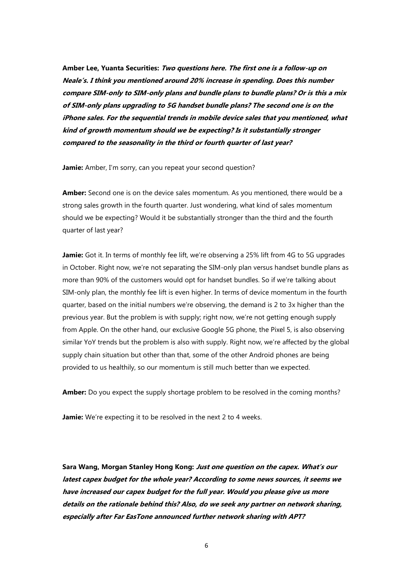**Amber Lee, Yuanta Securities: Two questions here. The first one is a follow-up on Neale's. I think you mentioned around 20% increase in spending. Does this number compare SIM-only to SIM-only plans and bundle plans to bundle plans? Or is this a mix of SIM-only plans upgrading to 5G handset bundle plans? The second one is on the iPhone sales. For the sequential trends in mobile device sales that you mentioned, what kind of growth momentum should we be expecting? Is it substantially stronger compared to the seasonality in the third or fourth quarter of last year?**

**Jamie:** Amber, I'm sorry, can you repeat your second question?

**Amber:** Second one is on the device sales momentum. As you mentioned, there would be a strong sales growth in the fourth quarter. Just wondering, what kind of sales momentum should we be expecting? Would it be substantially stronger than the third and the fourth quarter of last year?

**Jamie:** Got it. In terms of monthly fee lift, we're observing a 25% lift from 4G to 5G upgrades in October. Right now, we're not separating the SIM-only plan versus handset bundle plans as more than 90% of the customers would opt for handset bundles. So if we're talking about SIM-only plan, the monthly fee lift is even higher. In terms of device momentum in the fourth quarter, based on the initial numbers we're observing, the demand is 2 to 3x higher than the previous year. But the problem is with supply; right now, we're not getting enough supply from Apple. On the other hand, our exclusive Google 5G phone, the Pixel 5, is also observing similar YoY trends but the problem is also with supply. Right now, we're affected by the global supply chain situation but other than that, some of the other Android phones are being provided to us healthily, so our momentum is still much better than we expected.

**Amber:** Do you expect the supply shortage problem to be resolved in the coming months?

**Jamie:** We're expecting it to be resolved in the next 2 to 4 weeks.

**Sara Wang, Morgan Stanley Hong Kong: Just one question on the capex. What's our latest capex budget for the whole year? According to some news sources, it seems we have increased our capex budget for the full year. Would you please give us more details on the rationale behind this? Also, do we seek any partner on network sharing, especially after Far EasTone announced further network sharing with APT?**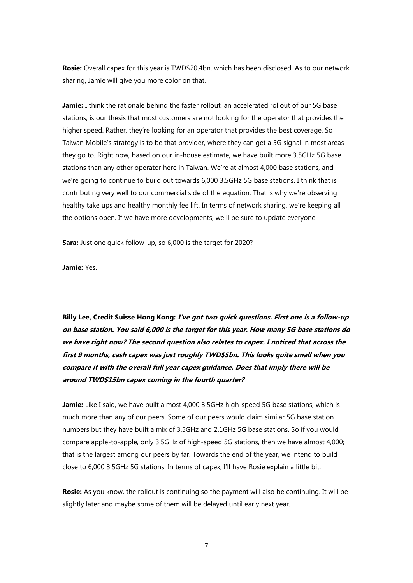**Rosie:** Overall capex for this year is TWD\$20.4bn, which has been disclosed. As to our network sharing, Jamie will give you more color on that.

**Jamie:** I think the rationale behind the faster rollout, an accelerated rollout of our 5G base stations, is our thesis that most customers are not looking for the operator that provides the higher speed. Rather, they're looking for an operator that provides the best coverage. So Taiwan Mobile's strategy is to be that provider, where they can get a 5G signal in most areas they go to. Right now, based on our in-house estimate, we have built more 3.5GHz 5G base stations than any other operator here in Taiwan. We're at almost 4,000 base stations, and we're going to continue to build out towards 6,000 3.5GHz 5G base stations. I think that is contributing very well to our commercial side of the equation. That is why we're observing healthy take ups and healthy monthly fee lift. In terms of network sharing, we're keeping all the options open. If we have more developments, we'll be sure to update everyone.

**Sara:** Just one quick follow-up, so 6,000 is the target for 2020?

**Jamie:** Yes.

**Billy Lee, Credit Suisse Hong Kong: I've got two quick questions. First one is a follow-up on base station. You said 6,000 is the target for this year. How many 5G base stations do we have right now? The second question also relates to capex. I noticed that across the first 9 months, cash capex was just roughly TWD\$5bn. This looks quite small when you compare it with the overall full year capex guidance. Does that imply there will be around TWD\$15bn capex coming in the fourth quarter?**

**Jamie:** Like I said, we have built almost 4,000 3.5GHz high-speed 5G base stations, which is much more than any of our peers. Some of our peers would claim similar 5G base station numbers but they have built a mix of 3.5GHz and 2.1GHz 5G base stations. So if you would compare apple-to-apple, only 3.5GHz of high-speed 5G stations, then we have almost 4,000; that is the largest among our peers by far. Towards the end of the year, we intend to build close to 6,000 3.5GHz 5G stations. In terms of capex, I'll have Rosie explain a little bit.

**Rosie:** As you know, the rollout is continuing so the payment will also be continuing. It will be slightly later and maybe some of them will be delayed until early next year.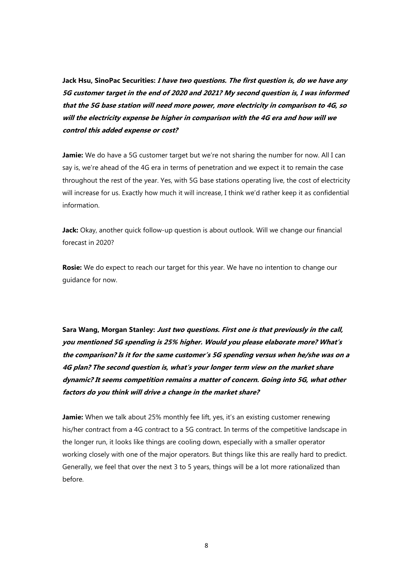**Jack Hsu, SinoPac Securities: I have two questions. The first question is, do we have any 5G customer target in the end of 2020 and 2021? My second question is, I was informed that the 5G base station will need more power, more electricity in comparison to 4G, so will the electricity expense be higher in comparison with the 4G era and how will we control this added expense or cost?**

**Jamie:** We do have a 5G customer target but we're not sharing the number for now. All I can say is, we're ahead of the 4G era in terms of penetration and we expect it to remain the case throughout the rest of the year. Yes, with 5G base stations operating live, the cost of electricity will increase for us. Exactly how much it will increase, I think we'd rather keep it as confidential information.

**Jack:** Okay, another quick follow-up question is about outlook. Will we change our financial forecast in 2020?

**Rosie:** We do expect to reach our target for this year. We have no intention to change our guidance for now.

**Sara Wang, Morgan Stanley: Just two questions. First one is that previously in the call, you mentioned 5G spending is 25% higher. Would you please elaborate more? What's the comparison? Is it for the same customer's 5G spending versus when he/she was on a 4G plan? The second question is, what's your longer term view on the market share dynamic? It seems competition remains a matter of concern. Going into 5G, what other factors do you think will drive a change in the market share?**

**Jamie:** When we talk about 25% monthly fee lift, yes, it's an existing customer renewing his/her contract from a 4G contract to a 5G contract. In terms of the competitive landscape in the longer run, it looks like things are cooling down, especially with a smaller operator working closely with one of the major operators. But things like this are really hard to predict. Generally, we feel that over the next 3 to 5 years, things will be a lot more rationalized than before.